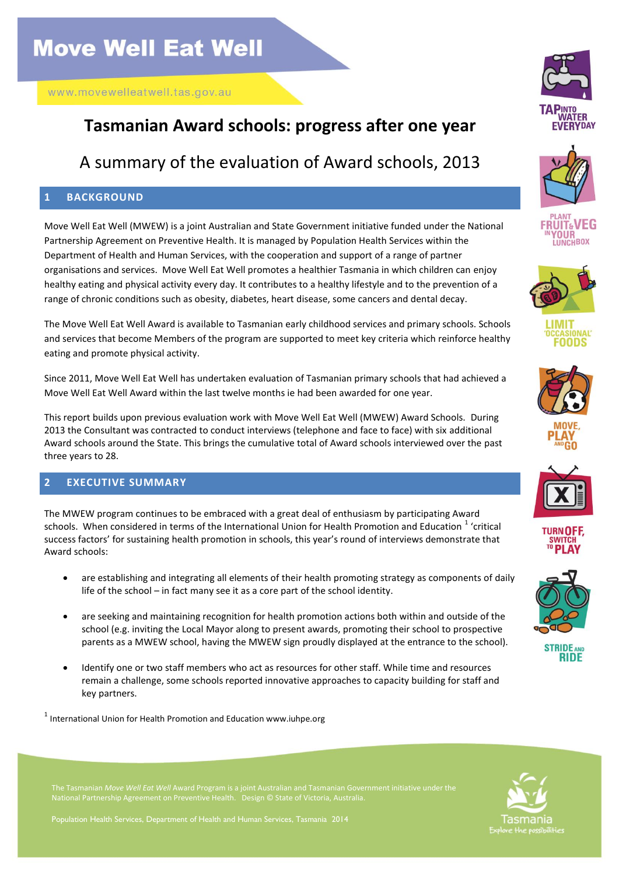## **Tasmanian Award schools: progress after one year**

### A summary of the evaluation of Award schools, 2013

#### **1 BACKGROUND**

Move Well Eat Well (MWEW) is a joint Australian and State Government initiative funded under the National Partnership Agreement on Preventive Health. It is managed by Population Health Services within the Department of Health and Human Services, with the cooperation and support of a range of partner organisations and services. Move Well Eat Well promotes a healthier Tasmania in which children can enjoy healthy eating and physical activity every day. It contributes to a healthy lifestyle and to the prevention of a range of chronic conditions such as obesity, diabetes, heart disease, some cancers and dental decay.

The Move Well Eat Well Award is available to Tasmanian early childhood services and primary schools. Schools and services that become Members of the program are supported to meet key criteria which reinforce healthy eating and promote physical activity.

Since 2011, Move Well Eat Well has undertaken evaluation of Tasmanian primary schools that had achieved a Move Well Eat Well Award within the last twelve months ie had been awarded for one year.

This report builds upon previous evaluation work with Move Well Eat Well (MWEW) Award Schools. During 2013 the Consultant was contracted to conduct interviews (telephone and face to face) with six additional Award schools around the State. This brings the cumulative total of Award schools interviewed over the past three years to 28.

#### **2 EXECUTIVE SUMMARY**

The MWEW program continues to be embraced with a great deal of enthusiasm by participating Award schools. When considered in terms of the International Union for Health Promotion and Education  $^1$  'critical success factors' for sustaining health promotion in schools, this year's round of interviews demonstrate that Award schools:

- are establishing and integrating all elements of their health promoting strategy as components of daily life of the school – in fact many see it as a core part of the school identity.
- are seeking and maintaining recognition for health promotion actions both within and outside of the school (e.g. inviting the Local Mayor along to present awards, promoting their school to prospective parents as a MWEW school, having the MWEW sign proudly displayed at the entrance to the school).
- Identify one or two staff members who act as resources for other staff. While time and resources remain a challenge, some schools reported innovative approaches to capacity building for staff and key partners.

 $<sup>1</sup>$  International Union for Health Promotion and Education www.iuhpe.org</sup>



Population Health Services, Department of Health and Human Services, Tasmania 2014





















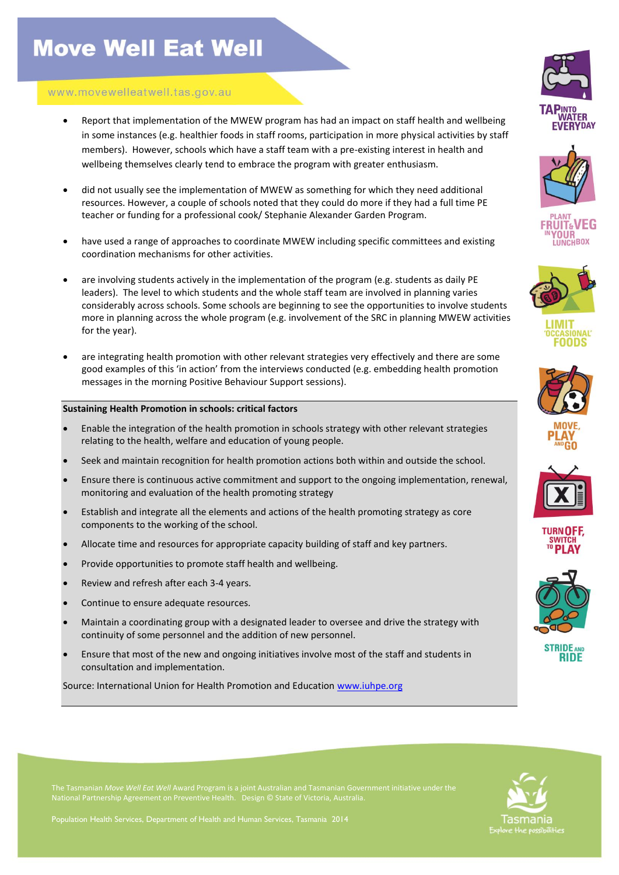# **Move Well Eat Well**

#### www.movewelleatwell.tas.gov.au

- Report that implementation of the MWEW program has had an impact on staff health and wellbeing in some instances (e.g. healthier foods in staff rooms, participation in more physical activities by staff members). However, schools which have a staff team with a pre-existing interest in health and wellbeing themselves clearly tend to embrace the program with greater enthusiasm.
- did not usually see the implementation of MWEW as something for which they need additional resources. However, a couple of schools noted that they could do more if they had a full time PE teacher or funding for a professional cook/ Stephanie Alexander Garden Program.
- have used a range of approaches to coordinate MWEW including specific committees and existing coordination mechanisms for other activities.
- are involving students actively in the implementation of the program (e.g. students as daily PE leaders). The level to which students and the whole staff team are involved in planning varies considerably across schools. Some schools are beginning to see the opportunities to involve students more in planning across the whole program (e.g. involvement of the SRC in planning MWEW activities for the year).
- are integrating health promotion with other relevant strategies very effectively and there are some good examples of this 'in action' from the interviews conducted (e.g. embedding health promotion messages in the morning Positive Behaviour Support sessions).

#### **Sustaining Health Promotion in schools: critical factors**

- Enable the integration of the health promotion in schools strategy with other relevant strategies relating to the health, welfare and education of young people.
- Seek and maintain recognition for health promotion actions both within and outside the school.
- Ensure there is continuous active commitment and support to the ongoing implementation, renewal, monitoring and evaluation of the health promoting strategy
- Establish and integrate all the elements and actions of the health promoting strategy as core components to the working of the school.
- Allocate time and resources for appropriate capacity building of staff and key partners.
- Provide opportunities to promote staff health and wellbeing.
- Review and refresh after each 3-4 years.
- Continue to ensure adequate resources.
- Maintain a coordinating group with a designated leader to oversee and drive the strategy with continuity of some personnel and the addition of new personnel.
- Ensure that most of the new and ongoing initiatives involve most of the staff and students in consultation and implementation.

Source: International Union for Health Promotion and Education [www.iuhpe.org](http://www.iuhpe.org/)





















**STRIDE AND RIDE** 



Population Health Services, Department of Health and Human Services, Tasmania 2014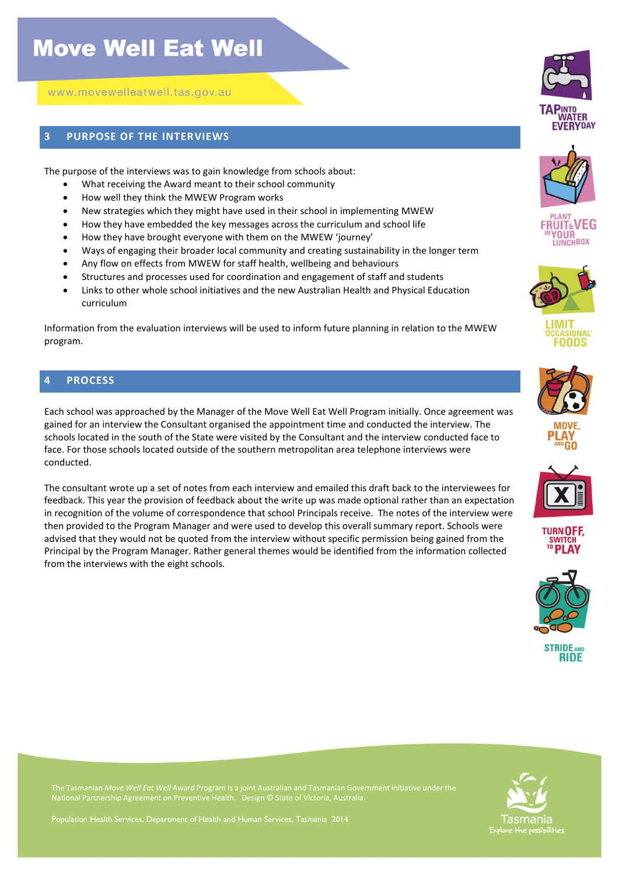## **Move Well Eat Well**

www.movewelleatwell.tas.gov.au

#### **3 PURPOSE OF THE INTERVIEWS**

The purpose of the interviews was to gain knowledge from schools about:

- What receiving the Award meant to their school community
- How well they think the MWEW Program works
- New strategies which they might have used in their school in implementing MWEW
- How they have embedded the key messages across the curriculum and school life
- How they have brought everyone with them on the MWEW 'journey'
- Ways of engaging their broader local community and creating sustainability in the longer term
- Any flow on effects from MWEW for staff health, wellbeing and behaviours
- Structures and processes used for coordination and engagement of staff and students
- Links to other whole school initiatives and the new Australian Health and Physical Education curriculum

Information from the evaluation interviews will be used to inform future planning in relation to the MWEW program.

#### **4 PROCESS**

Each school was approached by the Manager of the Move Well Eat Well Program initially. Once agreement was gained for an interview the Consultant organised the appointment time and conducted the interview. The schools located in the south of the State were visited by the Consultant and the interview conducted face to face. For those schools located outside of the southern metropolitan area telephone interviews were conducted.

The consultant wrote up a set of notes from each interview and emailed this draft back to the interviewees for feedback. This year the provision of feedback about the write up was made optional rather than an expectation in recognition of the volume of correspondence that school Principals receive. The notes of the interview were then provided to the Program Manager and were used to develop this overall summary report. Schools were advised that they would not be quoted from the interview without specific permission being gained from the Principal by the Program Manager. Rather general themes would be identified from the information collected from the interviews with the eight schools.

Population Health Services, Department of Health and Human Services, Tasmania 2014





















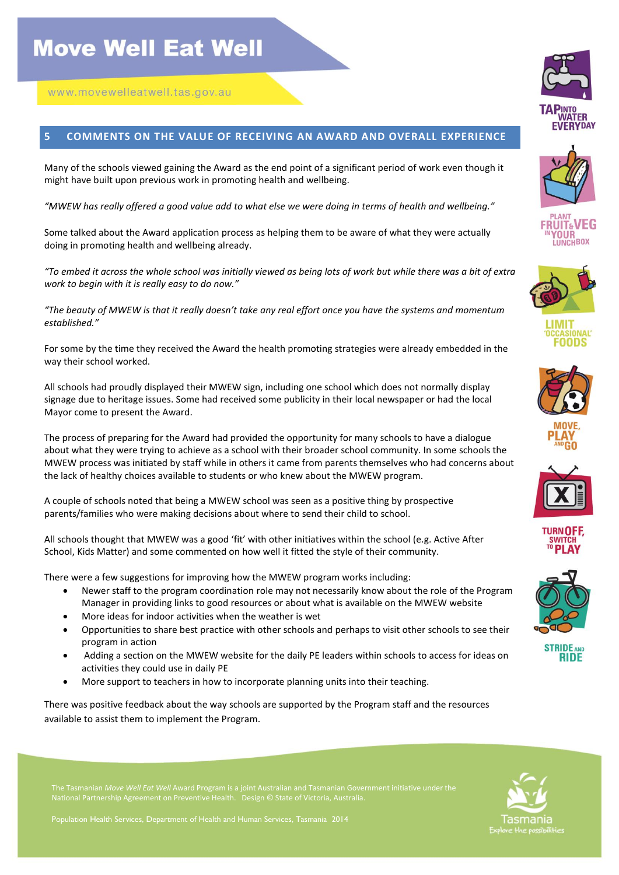#### **5 COMMENTS ON THE VALUE OF RECEIVING AN AWARD AND OVERALL EXPERIENCE**

Many of the schools viewed gaining the Award as the end point of a significant period of work even though it might have built upon previous work in promoting health and wellbeing.

*"MWEW has really offered a good value add to what else we were doing in terms of health and wellbeing."*

Some talked about the Award application process as helping them to be aware of what they were actually doing in promoting health and wellbeing already.

*"To embed it across the whole school was initially viewed as being lots of work but while there was a bit of extra work to begin with it is really easy to do now."* 

*"The beauty of MWEW is that it really doesn't take any real effort once you have the systems and momentum established."*

For some by the time they received the Award the health promoting strategies were already embedded in the way their school worked.

All schools had proudly displayed their MWEW sign, including one school which does not normally display signage due to heritage issues. Some had received some publicity in their local newspaper or had the local Mayor come to present the Award.

The process of preparing for the Award had provided the opportunity for many schools to have a dialogue about what they were trying to achieve as a school with their broader school community. In some schools the MWEW process was initiated by staff while in others it came from parents themselves who had concerns about the lack of healthy choices available to students or who knew about the MWEW program.

A couple of schools noted that being a MWEW school was seen as a positive thing by prospective parents/families who were making decisions about where to send their child to school.

All schools thought that MWEW was a good 'fit' with other initiatives within the school (e.g. Active After School, Kids Matter) and some commented on how well it fitted the style of their community.

There were a few suggestions for improving how the MWEW program works including:

- Newer staff to the program coordination role may not necessarily know about the role of the Program Manager in providing links to good resources or about what is available on the MWEW website
- More ideas for indoor activities when the weather is wet
- Opportunities to share best practice with other schools and perhaps to visit other schools to see their program in action
- Adding a section on the MWEW website for the daily PE leaders within schools to access for ideas on activities they could use in daily PE
- More support to teachers in how to incorporate planning units into their teaching.

There was positive feedback about the way schools are supported by the Program staff and the resources available to assist them to implement the Program.























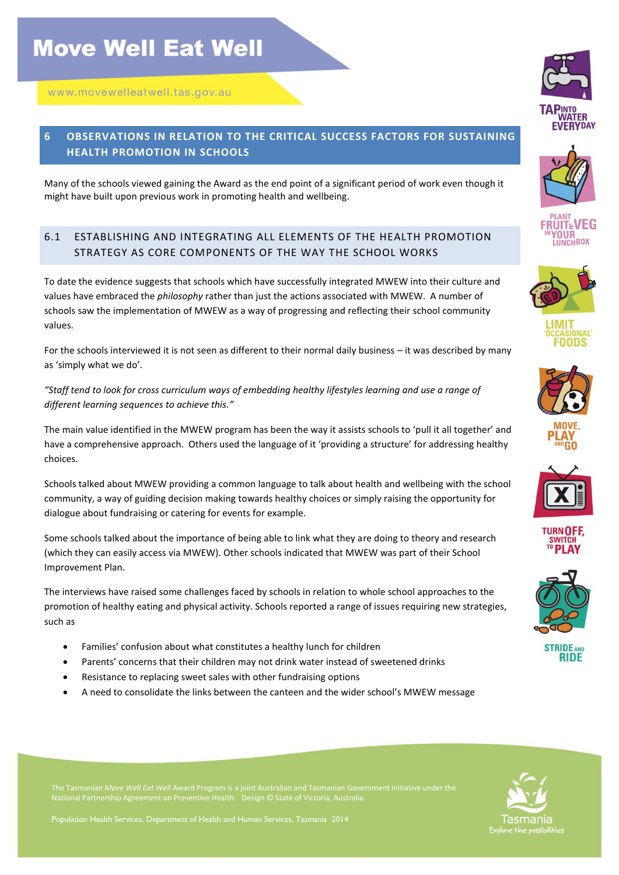### **6 OBSERVATIONS IN RELATION TO THE CRITICAL SUCCESS FACTORS FOR SUSTAINING HEALTH PROMOTION IN SCHOOLS**

Many of the schools viewed gaining the Award as the end point of a significant period of work even though it might have built upon previous work in promoting health and wellbeing.

### 6.1 ESTABLISHING AND INTEGRATING ALL ELEMENTS OF THE HEALTH PROMOTION STRATEGY AS CORE COMPONENTS OF THE WAY THE SCHOOL WORKS

To date the evidence suggests that schools which have successfully integrated MWEW into their culture and values have embraced the *philosophy* rather than just the actions associated with MWEW. A number of schools saw the implementation of MWEW as a way of progressing and reflecting their school community values.

For the schools interviewed it is not seen as different to their normal daily business – it was described by many as 'simply what we do'.

*"Staff tend to look for cross curriculum ways of embedding healthy lifestyles learning and use a range of different learning sequences to achieve this."* 

The main value identified in the MWEW program has been the way it assists schools to 'pull it all together' and have a comprehensive approach. Others used the language of it 'providing a structure' for addressing healthy choices.

Schools talked about MWEW providing a common language to talk about health and wellbeing with the school community, a way of guiding decision making towards healthy choices or simply raising the opportunity for dialogue about fundraising or catering for events for example.

Some schools talked about the importance of being able to link what they are doing to theory and research (which they can easily access via MWEW). Other schools indicated that MWEW was part of their School Improvement Plan.

The interviews have raised some challenges faced by schools in relation to whole school approaches to the promotion of healthy eating and physical activity. Schools reported a range of issues requiring new strategies, such as

- Families' confusion about what constitutes a healthy lunch for children
- Parents' concerns that their children may not drink water instead of sweetened drinks
- Resistance to replacing sweet sales with other fundraising options
- A need to consolidate the links between the canteen and the wider school's MWEW message





















**STRIDE AND RIDE** 

Tasmania

Population Health Services, Department of Health and Human Services, Tasmania 2014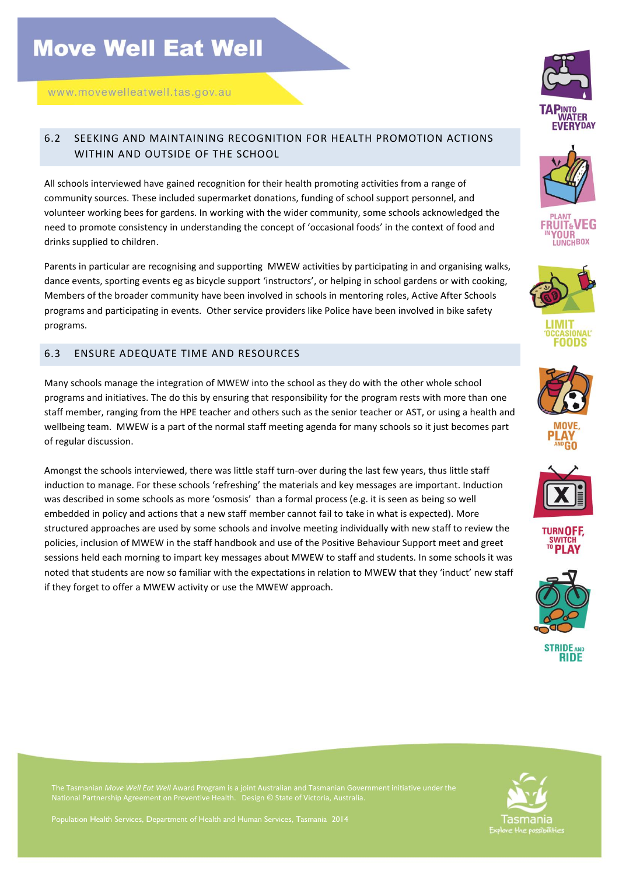### 6.2 SEEKING AND MAINTAINING RECOGNITION FOR HEALTH PROMOTION ACTIONS WITHIN AND OUTSIDE OF THE SCHOOL

All schools interviewed have gained recognition for their health promoting activities from a range of community sources. These included supermarket donations, funding of school support personnel, and volunteer working bees for gardens. In working with the wider community, some schools acknowledged the need to promote consistency in understanding the concept of 'occasional foods' in the context of food and drinks supplied to children.

Parents in particular are recognising and supporting MWEW activities by participating in and organising walks, dance events, sporting events eg as bicycle support 'instructors', or helping in school gardens or with cooking, Members of the broader community have been involved in schools in mentoring roles, Active After Schools programs and participating in events. Other service providers like Police have been involved in bike safety programs.

#### 6.3 ENSURE ADEQUATE TIME AND RESOURCES

Many schools manage the integration of MWEW into the school as they do with the other whole school programs and initiatives. The do this by ensuring that responsibility for the program rests with more than one staff member, ranging from the HPE teacher and others such as the senior teacher or AST, or using a health and wellbeing team. MWEW is a part of the normal staff meeting agenda for many schools so it just becomes part of regular discussion.

Amongst the schools interviewed, there was little staff turn-over during the last few years, thus little staff induction to manage. For these schools 'refreshing' the materials and key messages are important. Induction was described in some schools as more 'osmosis' than a formal process (e.g. it is seen as being so well embedded in policy and actions that a new staff member cannot fail to take in what is expected). More structured approaches are used by some schools and involve meeting individually with new staff to review the policies, inclusion of MWEW in the staff handbook and use of the Positive Behaviour Support meet and greet sessions held each morning to impart key messages about MWEW to staff and students. In some schools it was noted that students are now so familiar with the expectations in relation to MWEW that they 'induct' new staff if they forget to offer a MWEW activity or use the MWEW approach.























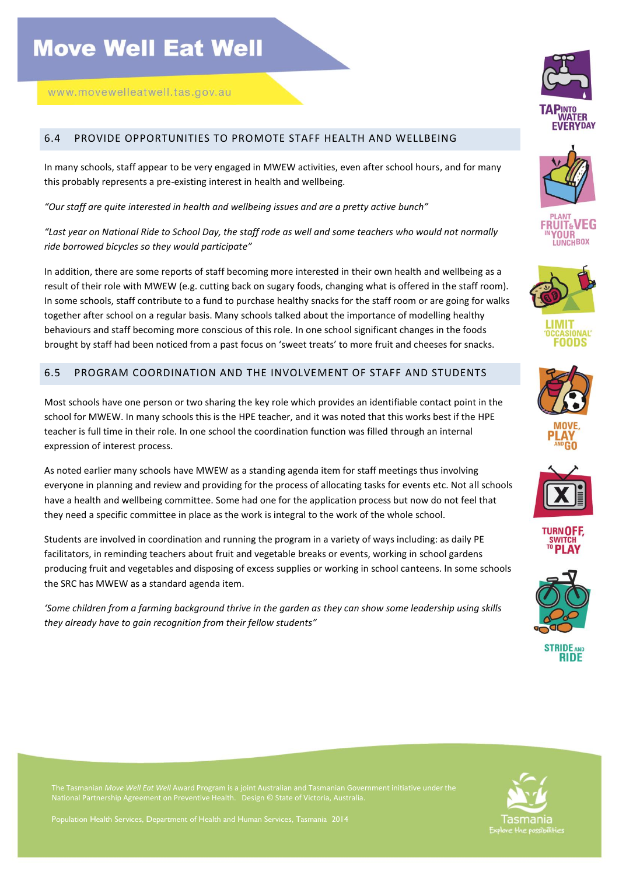#### 6.4 PROVIDE OPPORTUNITIES TO PROMOTE STAFF HEALTH AND WELLBEING

In many schools, staff appear to be very engaged in MWEW activities, even after school hours, and for many this probably represents a pre-existing interest in health and wellbeing.

*"Our staff are quite interested in health and wellbeing issues and are a pretty active bunch"*

*"Last year on National Ride to School Day, the staff rode as well and some teachers who would not normally ride borrowed bicycles so they would participate"*

In addition, there are some reports of staff becoming more interested in their own health and wellbeing as a result of their role with MWEW (e.g. cutting back on sugary foods, changing what is offered in the staff room). In some schools, staff contribute to a fund to purchase healthy snacks for the staff room or are going for walks together after school on a regular basis. Many schools talked about the importance of modelling healthy behaviours and staff becoming more conscious of this role. In one school significant changes in the foods brought by staff had been noticed from a past focus on 'sweet treats' to more fruit and cheeses for snacks.

#### 6.5 PROGRAM COORDINATION AND THE INVOLVEMENT OF STAFF AND STUDENTS

Most schools have one person or two sharing the key role which provides an identifiable contact point in the school for MWEW. In many schools this is the HPE teacher, and it was noted that this works best if the HPE teacher is full time in their role. In one school the coordination function was filled through an internal expression of interest process.

As noted earlier many schools have MWEW as a standing agenda item for staff meetings thus involving everyone in planning and review and providing for the process of allocating tasks for events etc. Not all schools have a health and wellbeing committee. Some had one for the application process but now do not feel that they need a specific committee in place as the work is integral to the work of the whole school.

Students are involved in coordination and running the program in a variety of ways including: as daily PE facilitators, in reminding teachers about fruit and vegetable breaks or events, working in school gardens producing fruit and vegetables and disposing of excess supplies or working in school canteens. In some schools the SRC has MWEW as a standard agenda item.

*'Some children from a farming background thrive in the garden as they can show some leadership using skills they already have to gain recognition from their fellow students"*

























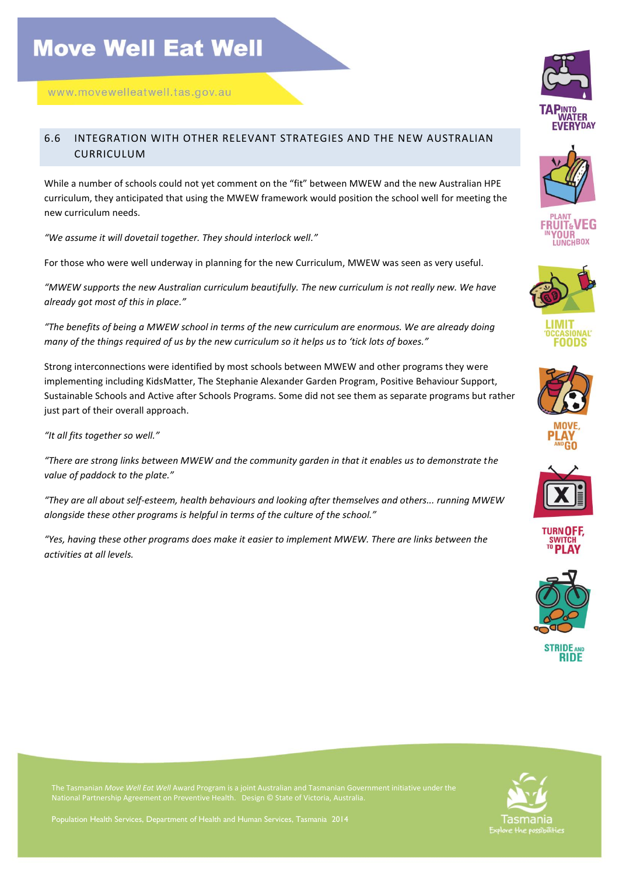#### 6.6 INTEGRATION WITH OTHER RELEVANT STRATEGIES AND THE NEW AUSTRALIAN CURRICULUM

While a number of schools could not yet comment on the "fit" between MWEW and the new Australian HPE curriculum, they anticipated that using the MWEW framework would position the school well for meeting the new curriculum needs.

*"We assume it will dovetail together. They should interlock well."*

For those who were well underway in planning for the new Curriculum, MWEW was seen as very useful.

*"MWEW supports the new Australian curriculum beautifully. The new curriculum is not really new. We have already got most of this in place."*

*"The benefits of being a MWEW school in terms of the new curriculum are enormous. We are already doing many of the things required of us by the new curriculum so it helps us to 'tick lots of boxes."*

Strong interconnections were identified by most schools between MWEW and other programs they were implementing including KidsMatter, The Stephanie Alexander Garden Program, Positive Behaviour Support, Sustainable Schools and Active after Schools Programs. Some did not see them as separate programs but rather just part of their overall approach.

*"It all fits together so well."* 

*"There are strong links between MWEW and the community garden in that it enables us to demonstrate the value of paddock to the plate."*

*"They are all about self-esteem, health behaviours and looking after themselves and others... running MWEW alongside these other programs is helpful in terms of the culture of the school."* 

*"Yes, having these other programs does make it easier to implement MWEW. There are links between the activities at all levels.*









SIONAL nnns







**TURN OFF SWITCH**